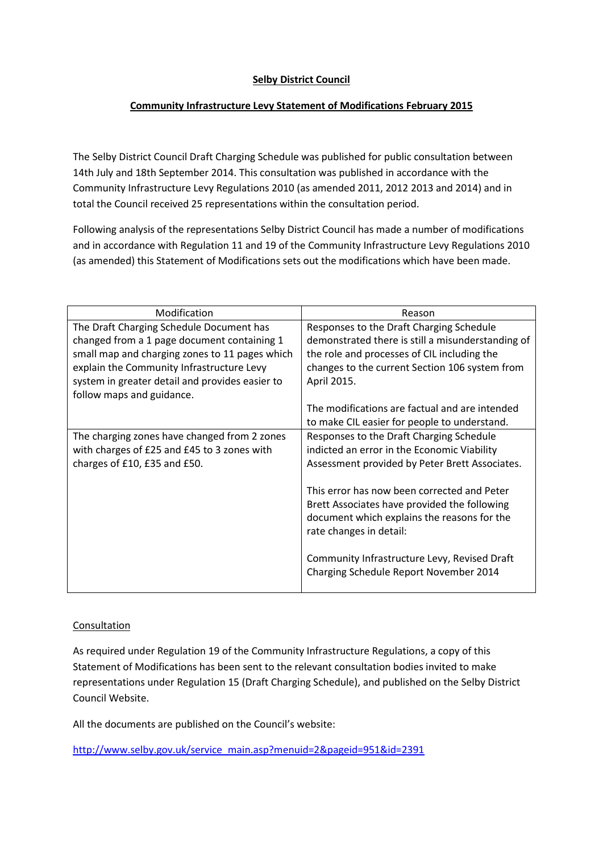## **Selby District Council**

## **Community Infrastructure Levy Statement of Modifications February 2015**

The Selby District Council Draft Charging Schedule was published for public consultation between 14th July and 18th September 2014. This consultation was published in accordance with the Community Infrastructure Levy Regulations 2010 (as amended 2011, 2012 2013 and 2014) and in total the Council received 25 representations within the consultation period.

Following analysis of the representations Selby District Council has made a number of modifications and in accordance with Regulation 11 and 19 of the Community Infrastructure Levy Regulations 2010 (as amended) this Statement of Modifications sets out the modifications which have been made.

| Modification                                    | Reason                                            |
|-------------------------------------------------|---------------------------------------------------|
| The Draft Charging Schedule Document has        | Responses to the Draft Charging Schedule          |
| changed from a 1 page document containing 1     | demonstrated there is still a misunderstanding of |
| small map and charging zones to 11 pages which  | the role and processes of CIL including the       |
| explain the Community Infrastructure Levy       | changes to the current Section 106 system from    |
| system in greater detail and provides easier to | April 2015.                                       |
| follow maps and guidance.                       |                                                   |
|                                                 | The modifications are factual and are intended    |
|                                                 | to make CIL easier for people to understand.      |
| The charging zones have changed from 2 zones    | Responses to the Draft Charging Schedule          |
| with charges of £25 and £45 to 3 zones with     | indicted an error in the Economic Viability       |
| charges of £10, £35 and £50.                    | Assessment provided by Peter Brett Associates.    |
|                                                 |                                                   |
|                                                 | This error has now been corrected and Peter       |
|                                                 | Brett Associates have provided the following      |
|                                                 | document which explains the reasons for the       |
|                                                 | rate changes in detail:                           |
|                                                 |                                                   |
|                                                 | Community Infrastructure Levy, Revised Draft      |
|                                                 | Charging Schedule Report November 2014            |
|                                                 |                                                   |

#### Consultation

As required under Regulation 19 of the Community Infrastructure Regulations, a copy of this Statement of Modifications has been sent to the relevant consultation bodies invited to make representations under Regulation 15 (Draft Charging Schedule), and published on the Selby District Council Website.

All the documents are published on the Council's website:

[http://www.selby.gov.uk/service\\_main.asp?menuid=2&pageid=951&id=2391](http://www.selby.gov.uk/service_main.asp?menuid=2&pageid=951&id=2391)